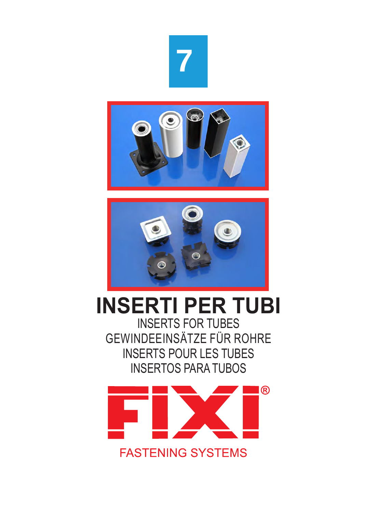





# **INSERTI PER TUBI**

INSERTS FOR TUBES GEWINDEEINSÄTZE FÜR ROHRE INSERTS POUR LES TUBES INSERTOS PARA TUBOS

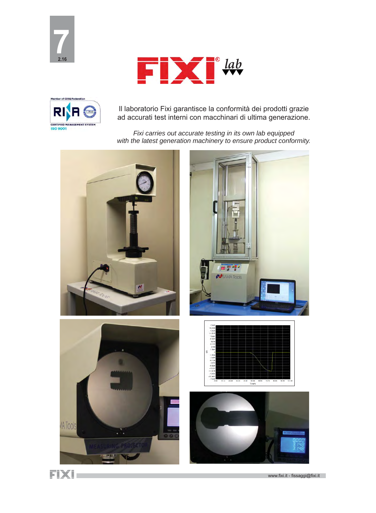





Il laboratorio Fixi garantisce la conformità dei prodotti grazie ad accurati test interni con macchinari di ultima generazione.

*Fixi carries out accurate testing in its own lab equipped with the latest generation machinery to ensure product conformity.*







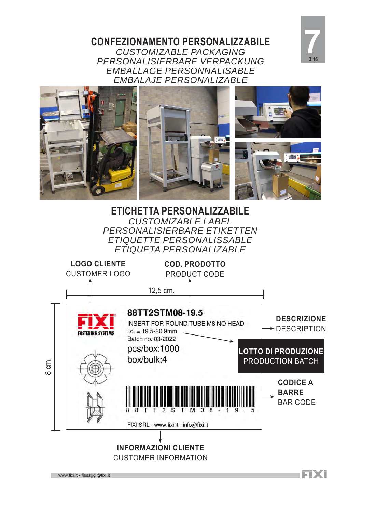**CONFEZIONAMENTO PERSONALIZZABILE**  *CUSTOMIZABLE PACKAGING PERSONALISIERBARE VERPACKUNG EMBALLAGE PERSONNALISABLE EMBALAJE PERSONALIZABLE*





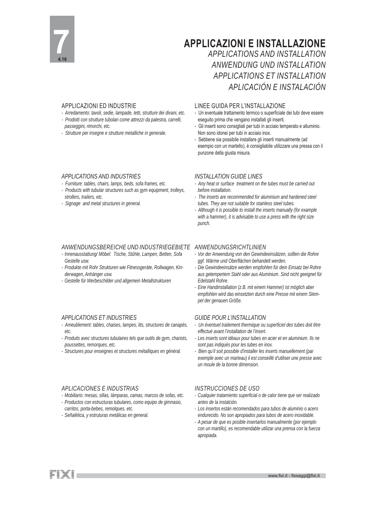

### **APPLICAZIONI E INSTALLAZIONE**

### *APPLICATIONS AND INSTALLATION ANWENDUNG UND INSTALLATION APPLICATIONS ET INSTALLATION APLICACIÓN E INSTALACIÓN*

#### APPLICAZIONI ED INDUSTRIE

- *Arredamento: tavoli, sedie, lampade, letti, strutture dei divani, etc. - Prodotti con strutture tubolari come attrezzi da palestra, carrelli,*
- *passeggini, rimorchi, etc.*
- *Strutture per insegne e strutture metalliche in generale.*

#### *APPLICATIONS AND INDUSTRIES*

- *Furniture: tables, chairs, lamps, beds, sofa frames, etc.*
- *Products with tubular structures such as gym equipment, trolleys, strollers, trailers, etc.*
- *Signage and metal structures in general.*

#### *ANWENDUNGSBEREICHE UND INDUSTRIEGEBIETE ANWENDUNGSRICHTLINIEN*

- *Innenausstattung/ Möbel: Tische, Stühle, Lampen, Betten, Sofa Gestelle usw.*
- *Produkte mit Rohr Strukturen wie Fitnessgeräte, Rollwagen, Kinderwagen, Anhänger usw.*
- *Gestelle für Werbeschilder und allgemein Metallstrukturen*

### *APPLICATIONS ET INDUSTRIES*

- *Ameublement: tables, chaises, lampes, lits, structures de canapés, etc.*
- *Produits avec structures tubulaires tels que outils de gym, chariots, poussettes, remorques, etc.*
- *Structures pour enseignes et structures métalliques en général.*

### *APLICACIONES E INDUSTRIAS*

- *Mobiliario: mesas, sillas, lámparas, camas, marcos de sofas, etc.*
- *Productos con estructuras tubulares, como equipo de gimnasio, carritos, porta-bebes, remolques, etc.*
- *Señalética, y estruturas metálicas en general.*

#### LINEE GUIDA PER L'INSTALLAZIONE

- Un eventuale trattamento termico o superficiale dei tubi deve essere eseguito prima che vengano installati gli inserti.
- Gli inserti sono consigliati per tubi in acciaio temperato e alluminio. Non sono idonei per tubi in acciaio inox.
- Sebbene sia possibile installare gli inserti manualmente (ad esempio con un martello), è consigliabile utilizzare una pressa con il punzone della giusta misura.

#### *INSTALLATION GUIDE LINES*

- *Any heat or surface treatment on the tubes must be carried out before installation.*
- *The inserts are recommended for aluminium and hardened steel tubes. They are not suitable for stainless steel tubes.*
- *Although it is possible to install the inserts manually (for example with a hammer), it is advisable to use a press with the right size punch.*

- *Vor der Anwendung von den Gewindeeinsätzen, sollten die Rohre ggf. Wärme und Oberfl ächen behandelt werden.*
- *Die Gewindeeinsätze werden empfohlen für dein Einsatz bei Rohre aus getempertem Stahl oder aus Aluminium. Sind nicht geeignet für Edelstahl Rohre.*
- *Eine Handinstallation (z.B. mit einem Hammer) ist möglich aber empfohlen wird das einsetzten durch eine Presse mit einem Stempel der genauen Größe.*

#### *GUIDE POUR L'INSTALLATION*

- *Un éventuel traitement thermique ou superfi ciel des tubes doit être eff ectué avant l'installation de l'insert.*
- *Les inserts sont idéaux pour tubes en acier et en aluminium. Ils ne sont pas indiqués pour les tubes en inox.*
- *Bien qu'il soit possible d'installer les inserts manuellement (par exemple avec un marteau) il est conseillé d'utiliser une presse avec un moule de la bonne dimension.*

### *INSTRUCCIONES DE USO*

- *Cualquier tratamiento superfi cial o de calor tiene que ser realizado antes de la instalción.*
- *Los insertos están recomendados para tubos de aluminio o acero endurecido. No son apropiados para tubos de acero inoxidable.*
- *A pesar de que es posible insertarlos manualmente (por ejemplo con un martillo), es recomendable utilizar una prensa con la fuerza apropiada.*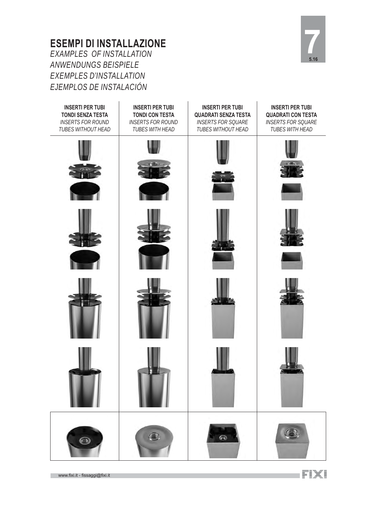### **ESEMPI DI INSTALLAZIONE**  *EXAMPLES OF INSTALLATION ANWENDUNGS BEISPIELE EXEMPLES D'INSTALLATION EJEMPLOS DE INSTALACIÓN*



**INSERTI PER TUBI INSERTI PER TUBI INSERTI PER TUBI INSERTI PER TUBI TONDI SENZA TESTA TONDI CON TESTA QUADRATI SENZA TESTA QUADRATI CON TESTA**  *INSERTS FOR ROUND INSERTS FOR ROUND INSERTS FOR SQUARE INSERTS FOR SQUARE TUBES WITHOUT HEAD TUBES WITH HEAD TUBES WITHOUT HEAD TUBES WITH HEAD*G. G  $\bigcirc$ 

www.fixi.it - fissaggi@fixi.it

FIXI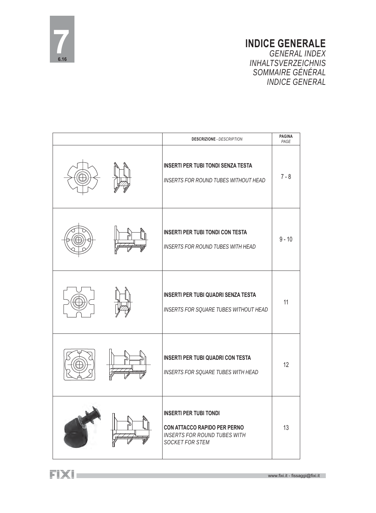

### **INDICE GENERALE**  *GENERAL INDEX INHALTSVERZEICHNIS SOMMAIRE GÉNÉRAL INDICE GENERAL*

| <b>DESCRIZIONE - DESCRIPTION</b>                                                                                               | <b>PAGINA</b><br>PAGE |
|--------------------------------------------------------------------------------------------------------------------------------|-----------------------|
| <b>INSERTI PER TUBI TONDI SENZA TESTA</b><br><b>INSERTS FOR ROUND TUBES WITHOUT HEAD</b>                                       | $7 - 8$               |
| <b>INSERTI PER TUBI TONDI CON TESTA</b><br><b>INSERTS FOR ROUND TUBES WITH HEAD</b>                                            | $9 - 10$              |
| <b>INSERTI PER TUBI QUADRI SENZA TESTA</b><br><b>INSERTS FOR SQUARE TUBES WITHOUT HEAD</b>                                     | 11                    |
| <b>INSERTI PER TUBI QUADRI CON TESTA</b><br><b>INSERTS FOR SQUARE TUBES WITH HEAD</b>                                          | 12                    |
| <b>INSERTI PER TUBI TONDI</b><br><b>CON ATTACCO RAPIDO PER PERNO</b><br><b>INSERTS FOR ROUND TUBES WITH</b><br>SOCKET FOR STEM | 13                    |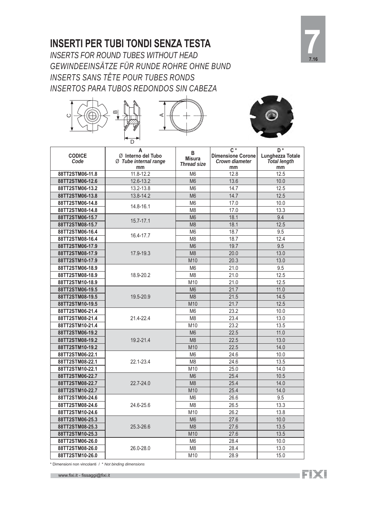### **INSERTI PER TUBI TONDI SENZA TESTA**

*INSERTS FOR ROUND TUBES WITHOUT HEAD GEWINDEEINSÄTZE FÜR RUNDE ROHRE OHNE BUND INSERTS SANS TÊTE POUR TUBES RONDS INSERTOS PARA TUBOS REDONDOS SIN CABEZA*







|                                    | D                                                      |                                          |                                                                  |                                                                 |
|------------------------------------|--------------------------------------------------------|------------------------------------------|------------------------------------------------------------------|-----------------------------------------------------------------|
| <b>CODICE</b><br>Code              | A<br>Ø Interno del Tubo<br>Ø Tube internal range<br>mm | В<br><b>Misura</b><br><b>Thread size</b> | $C^*$<br><b>Dimensione Corone</b><br><b>Crown diameter</b><br>mm | D <sup>*</sup><br>Lunghezza Totale<br><b>Total length</b><br>mm |
| 88TT2STM06-11.8                    | 11.8-12.2                                              | M <sub>6</sub>                           | 12.8                                                             | 12.5                                                            |
| 88TT2STM06-12.6                    | 12.6-13.2                                              | M <sub>6</sub>                           | 13.6                                                             | 10.0                                                            |
| 88TT2STM06-13.2                    | 13.2-13.8                                              | M <sub>6</sub>                           | 14.7                                                             | 12.5                                                            |
| 88TT2STM06-13.8                    | 13.8-14.2                                              | M <sub>6</sub>                           | 14.7                                                             | 12.5                                                            |
| 88TT2STM06-14.8                    | 14.8-16.1                                              | M <sub>6</sub>                           | 17.0                                                             | 10.0                                                            |
| 88TT2STM08-14.8                    |                                                        | M <sub>8</sub>                           | 17.0                                                             | 13.3                                                            |
| 88TT2STM06-15.7                    | 15.7-17.1                                              | M <sub>6</sub>                           | 18.1                                                             | 9.4                                                             |
| 88TT2STM08-15.7                    |                                                        | M <sub>8</sub>                           | 18.1                                                             | 12.5                                                            |
| 88TT2STM06-16.4                    | 16.4-17.7                                              | M <sub>6</sub>                           | 18.7                                                             | 9.5                                                             |
| 88TT2STM08-16.4                    |                                                        | M <sub>8</sub>                           | 18.7                                                             | 12.4                                                            |
| 88TT2STM06-17.9                    |                                                        | M <sub>6</sub>                           | 19.7                                                             | 9.5                                                             |
| 88TT2STM08-17.9                    | 17.9-19.3                                              | M <sub>8</sub>                           | 20.0                                                             | 13.0                                                            |
| 88TT2STM10-17.9                    |                                                        | M10                                      | 20.3                                                             | 13.0                                                            |
| 88TT2STM06-18.9                    |                                                        | M <sub>6</sub>                           | 21.0                                                             | 9.5                                                             |
| 88TT2STM08-18.9                    | 18.9-20.2                                              | M <sub>8</sub>                           | 21.0                                                             | 12.5                                                            |
| 88TT2STM10-18.9                    |                                                        | M10                                      | 21.0                                                             | 12.5                                                            |
| 88TT2STM06-19.5                    |                                                        | M <sub>6</sub>                           | 21.7                                                             | 11.0                                                            |
| 88TT2STM08-19.5                    | 19.5-20.9                                              | M <sub>8</sub>                           | 21.5                                                             | 14.5                                                            |
| 88TT2STM10-19.5                    |                                                        | M10                                      | 21.7                                                             | 12.5                                                            |
| 88TT2STM06-21.4                    |                                                        | M <sub>6</sub>                           | 23.2                                                             | 10.0                                                            |
| 88TT2STM08-21.4                    | 21.4-22.4                                              | M <sub>8</sub>                           | 23.4                                                             | 13.0                                                            |
| 88TT2STM10-21.4                    |                                                        | M10                                      | 23.2                                                             | 13.5                                                            |
| 88TT2STM06-19.2                    |                                                        | M <sub>6</sub>                           | 22.5                                                             | 11.0                                                            |
| 88TT2STM08-19.2                    | 19.2-21.4                                              | M <sub>8</sub>                           | 22.5                                                             | 13.0                                                            |
| 88TT2STM10-19.2                    |                                                        | M10                                      | 22.5                                                             | 14.0                                                            |
| 88TT2STM06-22.1                    |                                                        | M <sub>6</sub>                           | 24.6                                                             | 10.0                                                            |
| 88TT2STM08-22.1                    | 22.1-23.4                                              | M <sub>8</sub>                           | 24.6                                                             | 13.5                                                            |
| 88TT2STM10-22.1                    |                                                        | M10                                      | 25.0                                                             | 14.0                                                            |
| 88TT2STM06-22.7                    |                                                        | M <sub>6</sub>                           | 25.4                                                             | 10.5                                                            |
| 88TT2STM08-22.7                    | 22.7-24.0                                              | M <sub>8</sub>                           | 25.4                                                             | 14.0                                                            |
| 88TT2STM10-22.7                    |                                                        | M10                                      | 25.4                                                             | 14.0                                                            |
| 88TT2STM06-24.6                    |                                                        | M <sub>6</sub>                           | 26.6                                                             | 9.5                                                             |
| 88TT2STM08-24.6                    | 24.6-25.6                                              | M <sub>8</sub>                           | 26.5                                                             | 13.3                                                            |
| 88TT2STM10-24.6                    |                                                        | M10                                      | 26.2                                                             | 13.8                                                            |
| 88TT2STM06-25.3<br>88TT2STM08-25.3 |                                                        | M <sub>6</sub><br>M <sub>8</sub>         | 27.6<br>27.6                                                     | 10.0<br>13.5                                                    |
| 88TT2STM10-25.3                    | 25.3-26.6                                              | M10                                      | 27.6                                                             | 13.5                                                            |
| 88TT2STM06-26.0                    |                                                        | M <sub>6</sub>                           | 28.4                                                             | 10.0                                                            |
| 88TT2STM08-26.0                    | 26.0-28.0                                              | M <sub>8</sub>                           | 28.4                                                             | 13.0                                                            |
| 88TT2STM10-26.0                    |                                                        |                                          |                                                                  |                                                                 |
|                                    |                                                        | M10                                      | 28.9                                                             | 15.0                                                            |

\* Dimensioni non vincolanti / \* *Not binding dimensions*

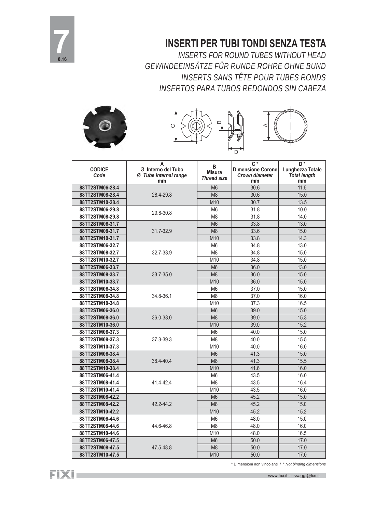

### **INSERTI PER TUBI TONDI SENZA TESTA**

*INSERTS FOR ROUND TUBES WITHOUT HEAD GEWINDEEINSÄTZE FÜR RUNDE ROHRE OHNE BUND INSERTS SANS TÊTE POUR TUBES RONDS INSERTOS PARA TUBOS REDONDOS SIN CABEZA*







| <b>CODICE</b><br>Code | A<br>Ø Interno del Tubo<br>Ø Tube internal range<br>mm | B<br><b>Misura</b><br><b>Thread size</b> | $C^*$<br><b>Dimensione Corone</b><br><b>Crown diameter</b><br>mm | D*<br>Lunghezza Totale<br><b>Total length</b><br>mm |
|-----------------------|--------------------------------------------------------|------------------------------------------|------------------------------------------------------------------|-----------------------------------------------------|
| 88TT2STM06-28.4       |                                                        | M <sub>6</sub>                           | 30.6                                                             | 11.5                                                |
| 88TT2STM08-28.4       | 28.4-29.8                                              | M <sub>8</sub>                           | 30.6                                                             | 15.0                                                |
| 88TT2STM10-28.4       |                                                        | M10                                      | 30.7                                                             | 13.5                                                |
| 88TT2STM06-29.8       | 29.8-30.8                                              | M <sub>6</sub>                           | 31.8                                                             | 10.0                                                |
| 88TT2STM08-29.8       |                                                        | M <sub>8</sub>                           | 31.8                                                             | 14.0                                                |
| 88TT2STM06-31.7       |                                                        | M <sub>6</sub>                           | 33.8                                                             | 13.0                                                |
| 88TT2STM08-31.7       | 31.7-32.9                                              | M <sub>8</sub>                           | 33.6                                                             | 15.0                                                |
| 88TT2STM10-31.7       |                                                        | M10                                      | 33.8                                                             | 14.3                                                |
| 88TT2STM06-32.7       |                                                        | M <sub>6</sub>                           | 34.8                                                             | 13.0                                                |
| 88TT2STM08-32.7       | 32.7-33.9                                              | M <sub>8</sub>                           | 34.8                                                             | 15.0                                                |
| 88TT2STM10-32.7       |                                                        | M10                                      | 34.8                                                             | 15.0                                                |
| 88TT2STM06-33.7       |                                                        | M <sub>6</sub>                           | 36.0                                                             | 13.0                                                |
| 88TT2STM08-33.7       | 33.7-35.0                                              | M <sub>8</sub>                           | 36.0                                                             | 15.0                                                |
| 88TT2STM10-33.7       |                                                        | M10                                      | 36.0                                                             | 15.0                                                |
| 88TT2STM06-34.8       |                                                        | M <sub>6</sub>                           | 37.0                                                             | 15.0                                                |
| 88TT2STM08-34.8       | 34.8-36.1                                              | M <sub>8</sub>                           | 37.0                                                             | 16.0                                                |
| 88TT2STM10-34.8       |                                                        | M10                                      | 37.3                                                             | 16.5                                                |
| 88TT2STM06-36.0       |                                                        | M <sub>6</sub>                           | 39.0                                                             | 15.0                                                |
| 88TT2STM08-36.0       | 36.0-38.0                                              | M <sub>8</sub>                           | 39.0                                                             | 15.3                                                |
| 88TT2STM10-36.0       |                                                        | M10                                      | 39.0                                                             | 15.2                                                |
| 88TT2STM06-37.3       |                                                        | M <sub>6</sub>                           | 40.0                                                             | 15.0                                                |
| 88TT2STM08-37.3       | 37.3-39.3                                              | M <sub>8</sub>                           | 40.0                                                             | 15.5                                                |
| 88TT2STM10-37.3       |                                                        | M10                                      | 40.0                                                             | 16.0                                                |
| 88TT2STM06-38.4       |                                                        | M <sub>6</sub>                           | 41.3                                                             | 15.0                                                |
| 88TT2STM08-38.4       | 38.4-40.4                                              | M <sub>8</sub>                           | 41.3                                                             | 15.5                                                |
| 88TT2STM10-38.4       |                                                        | M10                                      | 41.6                                                             | 16.0                                                |
| 88TT2STM06-41.4       |                                                        | M <sub>6</sub>                           | 43.5                                                             | 16.0                                                |
| 88TT2STM08-41.4       | 41.4-42.4                                              | M <sub>8</sub>                           | 43.5                                                             | 16.4                                                |
| 88TT2STM10-41.4       |                                                        | M10                                      | 43.5                                                             | 16.0                                                |
| 88TT2STM06-42.2       |                                                        | M <sub>6</sub>                           | 45.2                                                             | 15.0                                                |
| 88TT2STM08-42.2       | 42.2-44.2                                              | M <sub>8</sub>                           | 45.2                                                             | 15.0                                                |
| 88TT2STM10-42.2       |                                                        | M10                                      | 45.2                                                             | 15.2                                                |
| 88TT2STM06-44.6       |                                                        | M <sub>6</sub>                           | 48.0                                                             | 15.0                                                |
| 88TT2STM08-44.6       | 44.6-46.8                                              | M <sub>8</sub>                           | 48.0                                                             | 16.0                                                |
| 88TT2STM10-44.6       |                                                        | M10                                      | 48.0                                                             | 16.5                                                |
| 88TT2STM06-47.5       |                                                        | M <sub>6</sub>                           | 50.0                                                             | 17.0                                                |
| 88TT2STM08-47.5       | 47.5-48.8                                              | M <sub>8</sub>                           | 50.0                                                             | 17.0                                                |
| 88TT2STM10-47.5       |                                                        | M10                                      | 50.0                                                             | 17.0                                                |

FIXI-

\* Dimensioni non vincolanti / \* *Not binding dimensions*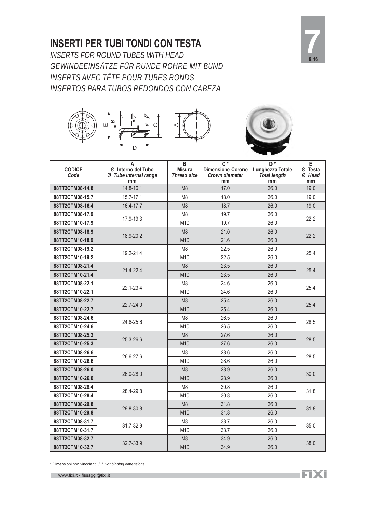### **INSERTI PER TUBI TONDI CON TESTA**

*INSERTS FOR ROUND TUBES WITH HEAD GEWINDEEINSÄTZE FÜR RUNDE ROHRE MIT BUND INSERTS AVEC TÊTE POUR TUBES RONDS INSERTOS PARA TUBOS REDONDOS CON CABEZA*







| <b>CODICE</b><br>Code | A<br>Ø Interno del Tubo<br>Ø Tube internal range<br>mm | B<br><b>Misura</b><br><b>Thread size</b> | $\overline{C}$ *<br><b>Dimensione Corone</b><br><b>Crown diameter</b><br>mm | D <sup>*</sup><br>Lunghezza Totale<br><b>Total length</b><br>mm | E<br>$\varnothing$ Testa<br>Ø Head<br>mm |
|-----------------------|--------------------------------------------------------|------------------------------------------|-----------------------------------------------------------------------------|-----------------------------------------------------------------|------------------------------------------|
| 88TT2CTM08-14.8       | 14.8-16.1                                              | M <sub>8</sub>                           | 17.0                                                                        | 26.0                                                            | 19.0                                     |
| 88TT2CTM08-15.7       | 15.7-17.1                                              | M <sub>8</sub>                           | 18.0                                                                        | 26.0                                                            | 19.0                                     |
| 88TT2CTM08-16.4       | 16.4-17.7                                              | M <sub>8</sub>                           | 18.7                                                                        | 26.0                                                            | 19.0                                     |
| 88TT2CTM08-17.9       |                                                        | M <sub>8</sub>                           | 19.7                                                                        | 26.0                                                            | 22.2                                     |
| 88TT2CTM10-17.9       | 17.9-19.3                                              | M10                                      | 19.7                                                                        | 26.0                                                            |                                          |
| 88TT2CTM08-18.9       | 18.9-20.2                                              | M <sub>8</sub>                           | 21.0                                                                        | 26.0                                                            | 22.2                                     |
| 88TT2CTM10-18.9       |                                                        | M10                                      | 21.6                                                                        | 26.0                                                            |                                          |
| 88TT2CTM08-19.2       |                                                        | M <sub>8</sub>                           | 22.5                                                                        | 26.0                                                            | 25.4                                     |
| 88TT2CTM10-19.2       | 19.2-21.4                                              | M10                                      | 22.5                                                                        | 26.0                                                            |                                          |
| 88TT2CTM08-21.4       | 21.4-22.4                                              | M <sub>8</sub>                           | 23.5                                                                        | 26.0                                                            | 25.4                                     |
| 88TT2CTM10-21.4       |                                                        | M10                                      | 23.5                                                                        | 26.0                                                            |                                          |
| 88TT2CTM08-22.1       | 22.1-23.4                                              | M <sub>8</sub>                           | 24.6                                                                        | 26.0                                                            | 25.4                                     |
| 88TT2CTM10-22.1       |                                                        | M10                                      | 24.6                                                                        | 26.0                                                            |                                          |
| 88TT2CTM08-22.7       | 22.7-24.0                                              | M <sub>8</sub>                           | 25.4                                                                        | 26.0                                                            | 25.4                                     |
| 88TT2CTM10-22.7       |                                                        | M10                                      | 25.4                                                                        | 26.0                                                            |                                          |
| 88TT2CTM08-24.6       | 24.6-25.6                                              | M <sub>8</sub>                           | 26.5                                                                        | 26.0                                                            | 28.5                                     |
| 88TT2CTM10-24.6       |                                                        | M10                                      | 26.5                                                                        | 26.0                                                            |                                          |
| 88TT2CTM08-25.3       | 25.3-26.6                                              | M <sub>8</sub>                           | 27.6                                                                        | 26.0                                                            | 28.5                                     |
| 88TT2CTM10-25.3       |                                                        | M10                                      | 27.6                                                                        | 26.0                                                            |                                          |
| 88TT2CTM08-26.6       | 26.6-27.6                                              | M <sub>8</sub>                           | 28.6                                                                        | 26.0                                                            | 28.5                                     |
| 88TT2CTM10-26.6       |                                                        | M10                                      | 28.6                                                                        | 26.0                                                            |                                          |
| 88TT2CTM08-26.0       | 26.0-28.0                                              | M <sub>8</sub>                           | 28.9                                                                        | 26.0                                                            | 30.0                                     |
| 88TT2CTM10-26.0       |                                                        | M10                                      | 28.9                                                                        | 26.0                                                            |                                          |
| 88TT2CTM08-28.4       | 28.4-29.8                                              | M <sub>8</sub>                           | 30.8                                                                        | 26.0                                                            | 31.8                                     |
| 88TT2CTM10-28.4       |                                                        | M10                                      | 30.8                                                                        | 26.0                                                            |                                          |
| 88TT2CTM08-29.8       | 29.8-30.8                                              | M <sub>8</sub>                           | 31.8                                                                        | 26.0                                                            | 31.8                                     |
| 88TT2CTM10-29.8       |                                                        | M10                                      | 31.8                                                                        | 26.0                                                            |                                          |
| 88TT2CTM08-31.7       | 31.7-32.9                                              | M <sub>8</sub>                           | 33.7                                                                        | 26.0                                                            | 35.0                                     |
| 88TT2CTM10-31.7       |                                                        | M10                                      | 33.7                                                                        | 26.0                                                            |                                          |
| 88TT2CTM08-32.7       |                                                        | M <sub>8</sub>                           | 34.9                                                                        | 26.0                                                            | 38.0                                     |
| 88TT2CTM10-32.7       | 32.7-33.9                                              | M10                                      | 34.9                                                                        | 26.0                                                            |                                          |

\* Dimensioni non vincolanti / \* *Not binding dimensions*

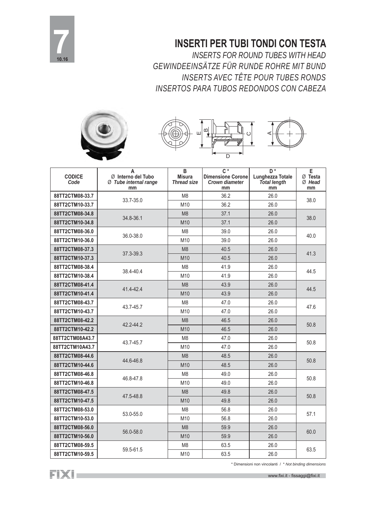

## **INSERTI PER TUBI TONDI CON TESTA**

*INSERTS FOR ROUND TUBES WITH HEAD GEWINDEEINSÄTZE FÜR RUNDE ROHRE MIT BUND INSERTS AVEC TÊTE POUR TUBES RONDS INSERTOS PARA TUBOS REDONDOS CON CABEZA*





| <b>CODICE</b><br>Code | A<br>Ø Interno del Tubo<br>Ø Tube internal range<br>mm | B<br><b>Misura</b><br><b>Thread size</b> | $C^*$<br><b>Dimensione Corone</b><br><b>Crown diameter</b><br>mm | D <sup>*</sup><br>Lunghezza Totale<br><b>Total length</b><br>mm | E<br>$Ø$ Testa<br>$Ø$ Head<br>mm |  |
|-----------------------|--------------------------------------------------------|------------------------------------------|------------------------------------------------------------------|-----------------------------------------------------------------|----------------------------------|--|
| 88TT2CTM08-33.7       |                                                        | M <sub>8</sub>                           | 36.2                                                             | 26.0                                                            | 38.0                             |  |
| 88TT2CTM10-33.7       | 33.7-35.0                                              | M10                                      | 36.2                                                             | 26.0                                                            |                                  |  |
| 88TT2CTM08-34.8       |                                                        | M <sub>8</sub>                           | 37.1                                                             | 26.0                                                            |                                  |  |
| 88TT2CTM10-34.8       | 34.8-36.1                                              | M10                                      | 37.1                                                             | 26.0                                                            | 38.0                             |  |
| 88TT2CTM08-36.0       |                                                        | M <sub>8</sub>                           | 39.0                                                             | 26.0                                                            |                                  |  |
| 88TT2CTM10-36.0       | 36.0-38.0                                              | M10                                      | 39.0                                                             | 26.0                                                            | 40.0                             |  |
| 88TT2CTM08-37.3       |                                                        | M <sub>8</sub>                           | 40.5                                                             | 26.0                                                            |                                  |  |
| 88TT2CTM10-37.3       | 37.3-39.3                                              | M10                                      | 40.5                                                             | 26.0                                                            | 41.3                             |  |
| 88TT2CTM08-38.4       |                                                        | M <sub>8</sub>                           | 41.9                                                             | 26.0                                                            | 44.5                             |  |
| 88TT2CTM10-38.4       | 38.4-40.4                                              | M10                                      | 41.9                                                             | 26.0                                                            |                                  |  |
| 88TT2CTM08-41.4       | 41.4-42.4                                              | M <sub>8</sub>                           | 43.9                                                             | 26.0                                                            |                                  |  |
| 88TT2CTM10-41.4       |                                                        | M10                                      | 43.9                                                             | 26.0                                                            | 44.5                             |  |
| 88TT2CTM08-43.7       | 43.7-45.7                                              | M <sub>8</sub>                           | 47.0                                                             | 26.0                                                            | 47.6                             |  |
| 88TT2CTM10-43.7       |                                                        | M10                                      | 47.0                                                             | 26.0                                                            |                                  |  |
| 88TT2CTM08-42.2       |                                                        | M <sub>8</sub>                           | 46.5                                                             | 26.0                                                            | 50.8                             |  |
| 88TT2CTM10-42.2       | 42.2-44.2                                              | M10                                      | 46.5                                                             | 26.0                                                            |                                  |  |
| 88TT2CTM08A43.7       | 43.7-45.7                                              | M <sub>8</sub>                           | 47.0                                                             | 26.0                                                            | 50.8                             |  |
| 88TT2CTM10A43.7       |                                                        | M10                                      | 47.0                                                             | 26.0                                                            |                                  |  |
| 88TT2CTM08-44.6       | 44.6-46.8                                              | M <sub>8</sub>                           | 48.5                                                             | 26.0                                                            | 50.8                             |  |
| 88TT2CTM10-44.6       |                                                        | M10                                      | 48.5                                                             | 26.0                                                            |                                  |  |
| 88TT2CTM08-46.8       | 46.8-47.8                                              | M <sub>8</sub>                           | 49.0                                                             | 26.0                                                            | 50.8                             |  |
| 88TT2CTM10-46.8       |                                                        | M10                                      | 49.0                                                             | 26.0                                                            |                                  |  |
| 88TT2CTM08-47.5       | 47.5-48.8                                              | M <sub>8</sub>                           | 49.8                                                             | 26.0                                                            | 50.8                             |  |
| 88TT2CTM10-47.5       |                                                        | M10                                      | 49.8                                                             | 26.0                                                            |                                  |  |
| 88TT2CTM08-53.0       |                                                        | M <sub>8</sub>                           | 56.8                                                             | 26.0                                                            | 57.1                             |  |
| 88TT2CTM10-53.0       | 53.0-55.0                                              | M10                                      | 56.8                                                             | 26.0                                                            |                                  |  |
| 88TT2CTM08-56.0       | 56.0-58.0                                              | M <sub>8</sub>                           | 59.9                                                             | 26.0                                                            |                                  |  |
| 88TT2CTM10-56.0       |                                                        | M10                                      | 59.9                                                             | 26.0                                                            | 60.0                             |  |
| 88TT2CTM08-59.5       |                                                        | M <sub>8</sub>                           | 63.5                                                             | 26.0                                                            |                                  |  |
| 88TT2CTM10-59.5       | 59.5-61.5                                              | M10                                      | 63.5                                                             | 26.0                                                            | 63.5                             |  |

\* Dimensioni non vincolanti / \* *Not binding dimensions*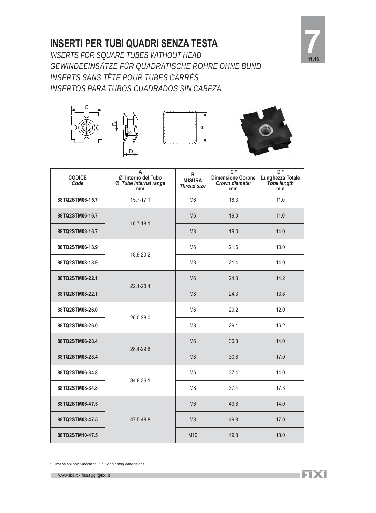### **INSERTI PER TUBI QUADRI SENZA TESTA**



*INSERTS FOR SQUARE TUBES WITHOUT HEAD GEWINDEEINSÄTZE FÜR QUADRATISCHE ROHRE OHNE BUND INSERTS SANS TÊTE POUR TUBES CARRÉS INSERTOS PARA TUBOS CUADRADOS SIN CABEZA*







| <b>CODICE</b><br>Code | A<br>Ø Interno del Tubo<br>Ø Tube internal range<br>mm | В<br><b>MISURA</b><br><b>Thread size</b> | $C^*$<br><b>Dimensione Corone</b><br><b>Crown diameter</b><br>mm | $D^*$<br>Lunghezza Totale<br>Total length<br>mm |
|-----------------------|--------------------------------------------------------|------------------------------------------|------------------------------------------------------------------|-------------------------------------------------|
| 88TQ2STM06-15.7       | 15.7-17.1                                              | M <sub>6</sub>                           | 18.3                                                             | 11.0                                            |
| 88TQ2STM06-16.7       |                                                        | M <sub>6</sub>                           | 19.0                                                             | 11.0                                            |
| 88TQ2STM08-16.7       | 16.7-18.1                                              | M <sub>8</sub>                           | 19.0                                                             | 14.0                                            |
| 88TQ2STM06-18.9       | 18.9-20.2                                              | M <sub>6</sub>                           | 21.6                                                             | 10.0                                            |
| 88TQ2STM08-18.9       |                                                        | M <sub>8</sub>                           | 21.4                                                             | 14.0                                            |
| 88TQ2STM06-22.1       | 22.1-23.4                                              | M <sub>6</sub>                           | 24.3                                                             | 14.2                                            |
| 88TQ2STM08-22.1       |                                                        | M <sub>8</sub>                           | 24.3                                                             | 13.8                                            |
| 88TQ2STM06-26.0       |                                                        | M <sub>6</sub>                           | 29.2                                                             | 12.0                                            |
| 88TQ2STM08-26.0       | 26.0-28.0                                              | M <sub>8</sub>                           | 29.1                                                             | 16.2                                            |
| 88TQ2STM06-28.4       | 28.4-29.8                                              | M <sub>6</sub>                           | 30.8                                                             | 14.0                                            |
| 88TQ2STM08-28.4       |                                                        | M <sub>8</sub>                           | 30.8                                                             | 17.0                                            |
| 88TQ2STM06-34.8       | 34.8-36.1                                              | M <sub>6</sub>                           | 37.4                                                             | 14.0                                            |
| 88TQ2STM08-34.8       |                                                        | M <sub>8</sub>                           | 37.4                                                             | 17.3                                            |
| 88TQ2STM06-47.5       |                                                        | M <sub>6</sub>                           | 49.8                                                             | 14.0                                            |
| 88TQ2STM08-47.5       | 47.5-48.8                                              | M <sub>8</sub>                           | 49.8                                                             | 17.0                                            |
| 88TQ2STM10-47.5       |                                                        | M10                                      | 49.8                                                             | 18.0                                            |

\* Dimensioni non vincolanti / \* *Not binding dimensions*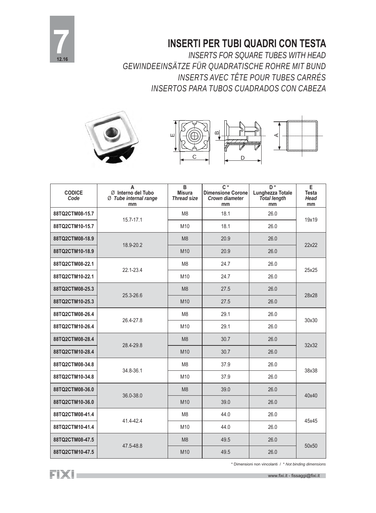

### **INSERTI PER TUBI QUADRI CON TESTA**

*INSERTS FOR SQUARE TUBES WITH HEAD GEWINDEEINSÄTZE FÜR QUADRATISCHE ROHRE MIT BUND INSERTS AVEC TÊTE POUR TUBES CARRÉS INSERTOS PARA TUBOS CUADRADOS CON CABEZA*





| <b>CODICE</b><br>Code | A<br>Ø Interno del Tubo<br>Ø Tube internal range<br>mm | $\, {\bf B}$<br><b>Misura</b><br><b>Thread size</b> | $\overline{C^*}$<br><b>Dimensione Corone</b><br><b>Crown diameter</b><br>mm | $\overline{D^*}$<br><b>Lunghezza Totale</b><br><b>Total length</b><br>mm | $\overline{E}$<br><b>Testa</b><br><b>Head</b><br>mm |
|-----------------------|--------------------------------------------------------|-----------------------------------------------------|-----------------------------------------------------------------------------|--------------------------------------------------------------------------|-----------------------------------------------------|
| 88TQ2CTM08-15.7       | 15.7-17.1                                              | M <sub>8</sub>                                      | 18.1                                                                        | 26.0                                                                     | 19x19                                               |
| 88TQ2CTM10-15.7       |                                                        | M10                                                 | 18.1                                                                        | 26.0                                                                     |                                                     |
| 88TQ2CTM08-18.9       | 18.9-20.2                                              | M <sub>8</sub>                                      | 20.9                                                                        | 26.0                                                                     |                                                     |
| 88TQ2CTM10-18.9       |                                                        | M10                                                 | 20.9                                                                        | 26.0                                                                     | 22x22                                               |
| 88TQ2CTM08-22.1       | 22.1-23.4                                              | M <sub>8</sub>                                      | 24.7                                                                        | 26.0                                                                     | 25x25                                               |
| 88TQ2CTM10-22.1       |                                                        | M10                                                 | 24.7                                                                        | 26.0                                                                     |                                                     |
| 88TQ2CTM08-25.3       | 25.3-26.6                                              | M <sub>8</sub>                                      | 27.5                                                                        | 26.0                                                                     | 28x28                                               |
| 88TQ2CTM10-25.3       |                                                        | M10                                                 | 27.5                                                                        | 26.0                                                                     |                                                     |
| 88TQ2CTM08-26.4       | 26.4-27.8                                              | M <sub>8</sub>                                      | 29.1                                                                        | 26.0                                                                     | 30x30                                               |
| 88TQ2CTM10-26.4       |                                                        | M10                                                 | 29.1                                                                        | 26.0                                                                     |                                                     |
| 88TQ2CTM08-28.4       | 28.4-29.8                                              | M8                                                  | 30.7                                                                        | 26.0                                                                     | 32x32                                               |
| 88TQ2CTM10-28.4       |                                                        | M10                                                 | 30.7                                                                        | 26.0                                                                     |                                                     |
| 88TQ2CTM08-34.8       | 34.8-36.1                                              | M <sub>8</sub>                                      | 37.9                                                                        | 26.0                                                                     | 38x38                                               |
| 88TQ2CTM10-34.8       |                                                        | M10                                                 | 37.9                                                                        | 26.0                                                                     |                                                     |
| 88TQ2CTM08-36.0       |                                                        | M <sub>8</sub>                                      | 39.0                                                                        | 26.0                                                                     | 40x40                                               |
| 88TQ2CTM10-36.0       | 36.0-38.0                                              | M10                                                 | 39.0                                                                        | 26.0                                                                     |                                                     |
| 88TQ2CTM08-41.4       | 41.4-42.4                                              | M <sub>8</sub>                                      | 44.0                                                                        | 26.0                                                                     |                                                     |
| 88TQ2CTM10-41.4       |                                                        | M10                                                 | 44.0                                                                        | 26.0                                                                     | 45x45                                               |
| 88TQ2CTM08-47.5       |                                                        | M <sub>8</sub>                                      | 49.5                                                                        | 26.0                                                                     | 50x50                                               |
| 88TQ2CTM10-47.5       | 47.5-48.8                                              | M10                                                 | 49.5                                                                        | 26.0                                                                     |                                                     |

FIXI.

\* Dimensioni non vincolanti / \* *Not binding dimensions*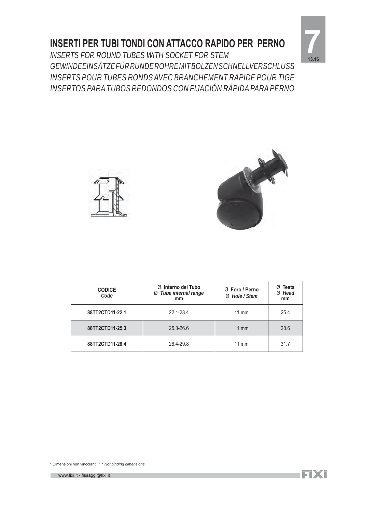### **INSERTI PER TUBI TONDI CON ATTACCO RAPIDO PER PERNO**



*INSERTS FOR ROUND TUBES WITH SOCKET FOR STEM GEWINDEEINSÄTZE FÜR RUNDE ROHRE MIT BOLZEN SCHNELLVERSCHLUSS INSERTS POUR TUBES RONDS AVEC BRANCHEMENT RAPIDE POUR TIGE INSERTOS PARA TUBOS REDONDOS CON FIJACIÓN RÁPIDA PARA PERNO*





| <b>CODICE</b><br>Code | $\emptyset$ Interno del Tubo<br>Ø Tube internal range<br>mm | Ø Foro / Perno<br>Ø Hole / Stem | Ø Testa<br>Ø Head<br>mm |
|-----------------------|-------------------------------------------------------------|---------------------------------|-------------------------|
| 88TT2CTD11-22.1       | 22.1-23.4                                                   | $11 \text{ mm}$                 | 25.4                    |
| 88TT2CTD11-25.3       | 25.3-26.6                                                   | $11 \text{ mm}$                 | 28.6                    |
| 88TT2CTD11-28.4       | 28.4-29.8                                                   | $11 \text{ mm}$                 | 31.7                    |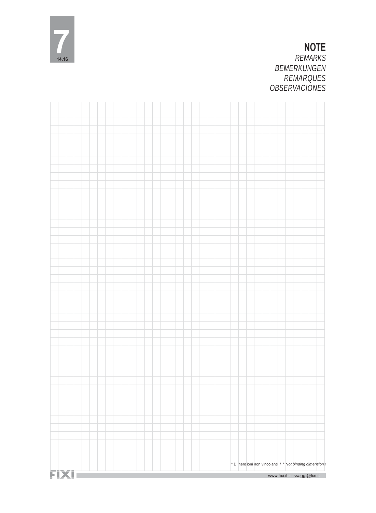

### **NOTE** *REMARKS BEMERKUNGEN REMARQUES OBSERVACIONES*

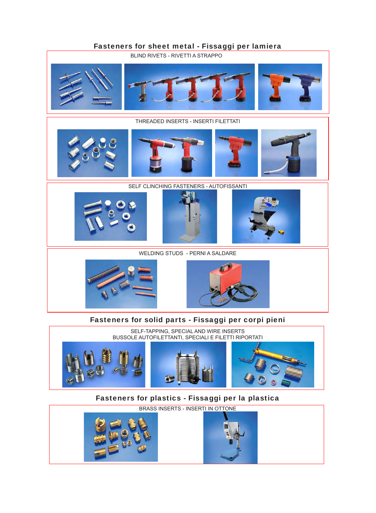### Fasteners for sheet metal - Fissaggi per lamiera



#### THREADED INSERTS - INSERTI FILETTATI



#### SELF CLINCHING FASTENERS - AUTOFISSANTI







WELDING STUDS - PERNI A SALDARE





### Fasteners for solid parts - Fissaggi per corpi pieni



### Fasteners for plastics - Fissaggi per la plastica